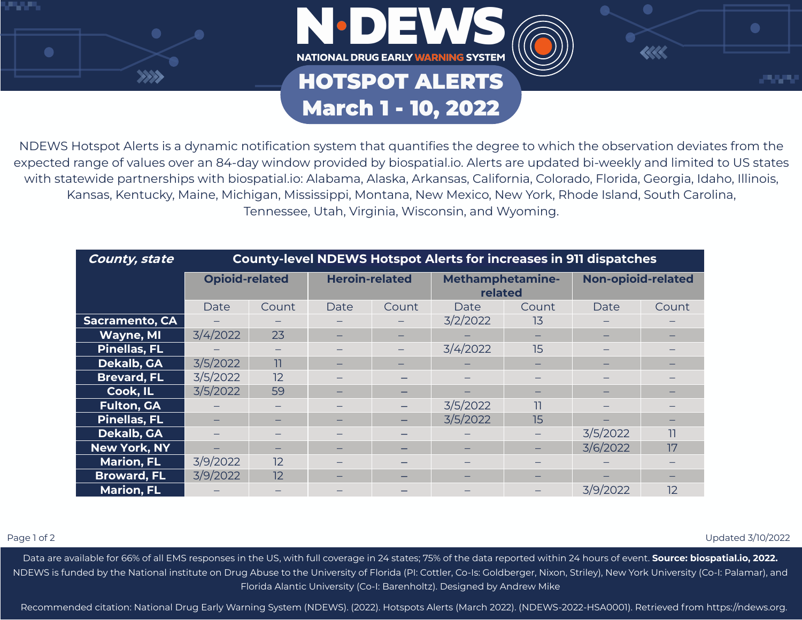



## HOTSPOT ALERTS March 1 - 10, 2022



| County, state         | <b>County-level NDEWS Hotspot Alerts for increases in 911 dispatches</b> |                          |                       |       |                                    |       |                           |       |
|-----------------------|--------------------------------------------------------------------------|--------------------------|-----------------------|-------|------------------------------------|-------|---------------------------|-------|
|                       | <b>Opioid-related</b>                                                    |                          | <b>Heroin-related</b> |       | <b>Methamphetamine-</b><br>related |       | <b>Non-opioid-related</b> |       |
|                       | Date                                                                     | Count                    | Date                  | Count | Date                               | Count | Date                      | Count |
| <b>Sacramento, CA</b> |                                                                          |                          |                       |       | 3/2/2022                           | 13    |                           |       |
| Wayne, MI             | 3/4/2022                                                                 | 23                       |                       |       |                                    |       |                           |       |
| <b>Pinellas, FL</b>   |                                                                          | $\overline{\phantom{0}}$ |                       |       | 3/4/2022                           | 15    |                           |       |
| Dekalb, GA            | 3/5/2022                                                                 | 11                       |                       | -     |                                    |       |                           |       |
| <b>Brevard, FL</b>    | 3/5/2022                                                                 | 12                       |                       |       |                                    |       |                           |       |
| Cook, IL              | 3/5/2022                                                                 | 59                       |                       |       |                                    |       |                           |       |
| <b>Fulton, GA</b>     |                                                                          |                          |                       |       | 3/5/2022                           | 11    |                           |       |
| <b>Pinellas, FL</b>   |                                                                          |                          |                       |       | 3/5/2022                           | 15    |                           |       |
| <b>Dekalb, GA</b>     |                                                                          |                          |                       |       |                                    |       | 3/5/2022                  | 11    |
| <b>New York, NY</b>   |                                                                          |                          |                       | -     |                                    |       | 3/6/2022                  | 17    |
| <b>Marion, FL</b>     | 3/9/2022                                                                 | 12                       |                       |       |                                    |       |                           |       |
| <b>Broward, FL</b>    | 3/9/2022                                                                 | 12                       |                       | -     | -                                  |       |                           |       |
| <b>Marion, FL</b>     |                                                                          |                          |                       |       |                                    |       | 3/9/2022                  | 12    |

Page 1 of 2 Updated 3/10/2022

 $\bullet$ 

والمواردان

 $<<$ 

Data are available for 66% of all EMS responses in the US, with full coverage in 24 states; 75% of the data reported within 24 hours of event. **Source: biospatial.io, 2022.** NDEWS is funded by the National institute on Drug Abuse to the University of Florida (PI: Cottler, Co-Is: Goldberger, Nixon, Striley), New York University (Co-I: Palamar), and Florida Alantic University (Co-I: Barenholtz). Designed by Andrew Mike

Recommended citation: National Drug Early Warning System (NDEWS). (2022). Hotspots Alerts (March 2022). (NDEWS-2022-HSA0001). Retrieved from https://ndews.org.